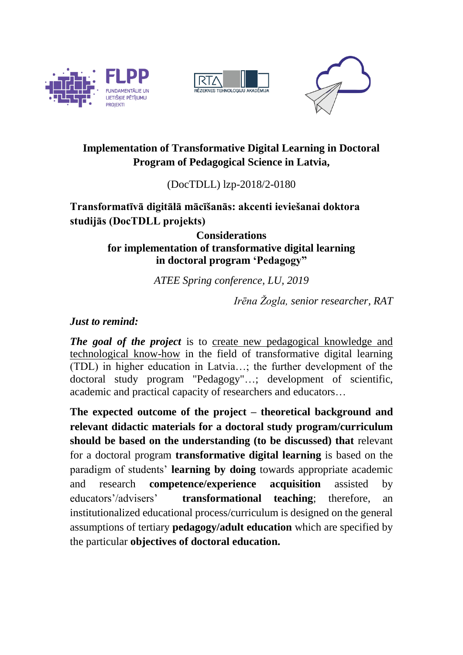





# **Implementation of Transformative Digital Learning in Doctoral Program of Pedagogical Science in Latvia,**

(DocTDLL) lzp-2018/2-0180

# **Transformatīvā digitālā mācīšanās: akcenti ieviešanai doktora studijās (DocTDLL projekts)**

## **Considerations for implementation of transformative digital learning in doctoral program 'Pedagogy"**

*ATEE Spring conference, LU, 2019*

*Irēna Žogla, senior researcher, RAT*

## *Just to remind:*

*The goal of the project* is to create new pedagogical knowledge and technological know-how in the field of transformative digital learning (TDL) in higher education in Latvia…; the further development of the doctoral study program "Pedagogy"…; development of scientific, academic and practical capacity of researchers and educators…

**The expected outcome of the project – theoretical background and relevant didactic materials for a doctoral study program/curriculum should be based on the understanding (to be discussed) that** relevant for a doctoral program **transformative digital learning** is based on the paradigm of students' **learning by doing** towards appropriate academic and research **competence/experience acquisition** assisted by educators'/advisers' **transformational teaching**; therefore, an institutionalized educational process/curriculum is designed on the general assumptions of tertiary **pedagogy/adult education** which are specified by the particular **objectives of doctoral education.**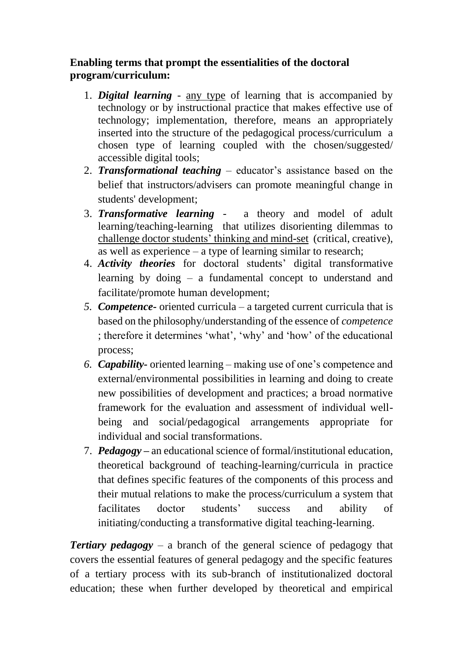## **Enabling terms that prompt the essentialities of the doctoral program/curriculum:**

- 1. *Digital learning* any type of learning that is accompanied by technology or by instructional practice that makes effective use of technology; implementation, therefore, means an appropriately inserted into the structure of the pedagogical process/curriculum a chosen type of learning coupled with the chosen/suggested/ accessible digital tools;
- 2. *Transformational teaching* educator's assistance based on the belief that instructors/advisers can promote meaningful change in students' development;
- 3. *Transformative learning* a theory and model of adult learning/teaching-learning that utilizes disorienting dilemmas to challenge doctor students' thinking and mind-set (critical, creative), as well as experience – a type of learning similar to research;
- 4. *Activity theories* for doctoral students' digital transformative learning by doing – a fundamental concept to understand and facilitate/promote human development;
- *5. Competence-* oriented curricula a targeted current curricula that is based on the philosophy/understanding of the essence of *competence* ; therefore it determines 'what', 'why' and 'how' of the educational process;
- *6. Capability-* oriented learning making use of one's competence and external/environmental possibilities in learning and doing to create new possibilities of development and practices; a broad normative framework for the evaluation and assessment of individual wellbeing and social/pedagogical arrangements appropriate for individual and social transformations.
- 7. *Pedagogy –* an educational science of formal/institutional education, theoretical background of teaching-learning/curricula in practice that defines specific features of the components of this process and their mutual relations to make the process/curriculum a system that facilitates doctor students' success and ability of initiating/conducting a transformative digital teaching-learning.

*Tertiary pedagogy* – a branch of the general science of pedagogy that covers the essential features of general pedagogy and the specific features of a tertiary process with its sub-branch of institutionalized doctoral education; these when further developed by theoretical and empirical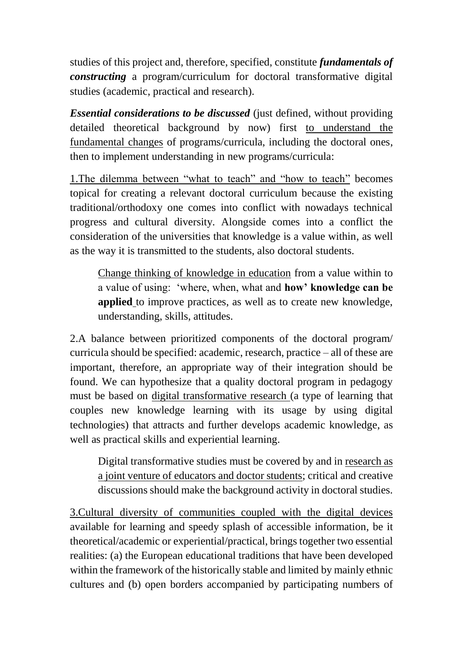studies of this project and, therefore, specified, constitute *fundamentals of constructing* a program/curriculum for doctoral transformative digital studies (academic, practical and research).

*Essential considerations to be discussed* (just defined, without providing detailed theoretical background by now) first to understand the fundamental changes of programs/curricula, including the doctoral ones, then to implement understanding in new programs/curricula:

1.The dilemma between "what to teach" and "how to teach" becomes topical for creating a relevant doctoral curriculum because the existing traditional/orthodoxy one comes into conflict with nowadays technical progress and cultural diversity. Alongside comes into a conflict the consideration of the universities that knowledge is a value within, as well as the way it is transmitted to the students, also doctoral students.

Change thinking of knowledge in education from a value within to a value of using: 'where, when, what and **how' knowledge can be applied** to improve practices, as well as to create new knowledge, understanding, skills, attitudes.

2.A balance between prioritized components of the doctoral program/ curricula should be specified: academic, research, practice – all of these are important, therefore, an appropriate way of their integration should be found. We can hypothesize that a quality doctoral program in pedagogy must be based on digital transformative research (a type of learning that couples new knowledge learning with its usage by using digital technologies) that attracts and further develops academic knowledge, as well as practical skills and experiential learning.

Digital transformative studies must be covered by and in research as a joint venture of educators and doctor students; critical and creative discussions should make the background activity in doctoral studies.

3.Cultural diversity of communities coupled with the digital devices available for learning and speedy splash of accessible information, be it theoretical/academic or experiential/practical, brings together two essential realities: (a) the European educational traditions that have been developed within the framework of the historically stable and limited by mainly ethnic cultures and (b) open borders accompanied by participating numbers of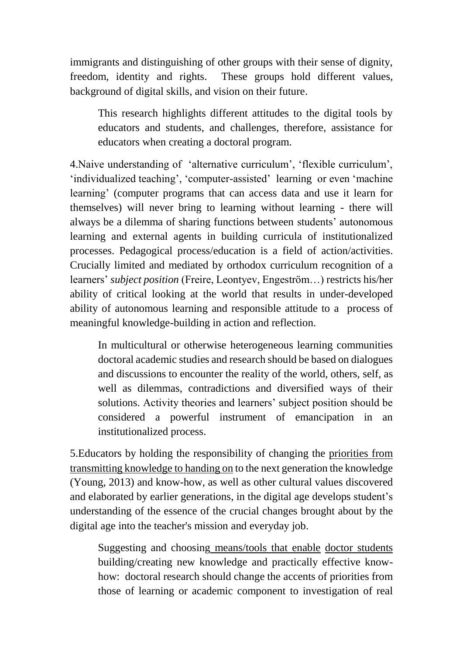immigrants and distinguishing of other groups with their sense of dignity, freedom, identity and rights. These groups hold different values, background of digital skills, and vision on their future.

This research highlights different attitudes to the digital tools by educators and students, and challenges, therefore, assistance for educators when creating a doctoral program.

4.Naive understanding of 'alternative curriculum', 'flexible curriculum', 'individualized teaching', 'computer-assisted' learning or even 'machine learning' (computer programs that can access data and use it learn for themselves) will never bring to learning without learning - there will always be a dilemma of sharing functions between students' autonomous learning and external agents in building curricula of institutionalized processes. Pedagogical process/education is a field of action/activities. Crucially limited and mediated by orthodox curriculum recognition of a learners' *subject position* (Freire, Leontyev, Engeström…) restricts his/her ability of critical looking at the world that results in under-developed ability of autonomous learning and responsible attitude to a process of meaningful knowledge-building in action and reflection.

In multicultural or otherwise heterogeneous learning communities doctoral academic studies and research should be based on dialogues and discussions to encounter the reality of the world, others, self, as well as dilemmas, contradictions and diversified ways of their solutions. Activity theories and learners' subject position should be considered a powerful instrument of emancipation in an institutionalized process.

5.Educators by holding the responsibility of changing the priorities from transmitting knowledge to handing on to the next generation the knowledge (Young, 2013) and know-how, as well as other cultural values discovered and elaborated by earlier generations, in the digital age develops student's understanding of the essence of the crucial changes brought about by the digital age into the teacher's mission and everyday job.

Suggesting and choosing means/tools that enable doctor students building/creating new knowledge and practically effective knowhow: doctoral research should change the accents of priorities from those of learning or academic component to investigation of real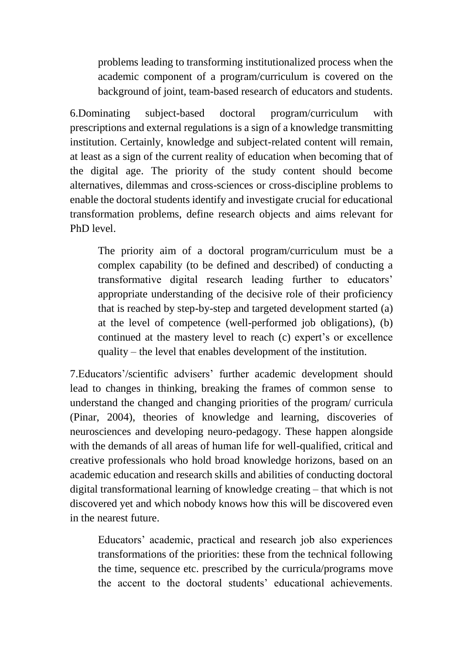problems leading to transforming institutionalized process when the academic component of a program/curriculum is covered on the background of joint, team-based research of educators and students.

6.Dominating subject-based doctoral program/curriculum with prescriptions and external regulations is a sign of a knowledge transmitting institution. Certainly, knowledge and subject-related content will remain, at least as a sign of the current reality of education when becoming that of the digital age. The priority of the study content should become alternatives, dilemmas and cross-sciences or cross-discipline problems to enable the doctoral students identify and investigate crucial for educational transformation problems, define research objects and aims relevant for PhD level.

The priority aim of a doctoral program/curriculum must be a complex capability (to be defined and described) of conducting a transformative digital research leading further to educators' appropriate understanding of the decisive role of their proficiency that is reached by step-by-step and targeted development started (a) at the level of competence (well-performed job obligations), (b) continued at the mastery level to reach (c) expert's or excellence quality – the level that enables development of the institution.

7.Educators'/scientific advisers' further academic development should lead to changes in thinking, breaking the frames of common sense to understand the changed and changing priorities of the program/ curricula (Pinar, 2004), theories of knowledge and learning, discoveries of neurosciences and developing neuro-pedagogy. These happen alongside with the demands of all areas of human life for well-qualified, critical and creative professionals who hold broad knowledge horizons, based on an academic education and research skills and abilities of conducting doctoral digital transformational learning of knowledge creating – that which is not discovered yet and which nobody knows how this will be discovered even in the nearest future.

Educators' academic, practical and research job also experiences transformations of the priorities: these from the technical following the time, sequence etc. prescribed by the curricula/programs move the accent to the doctoral students' educational achievements.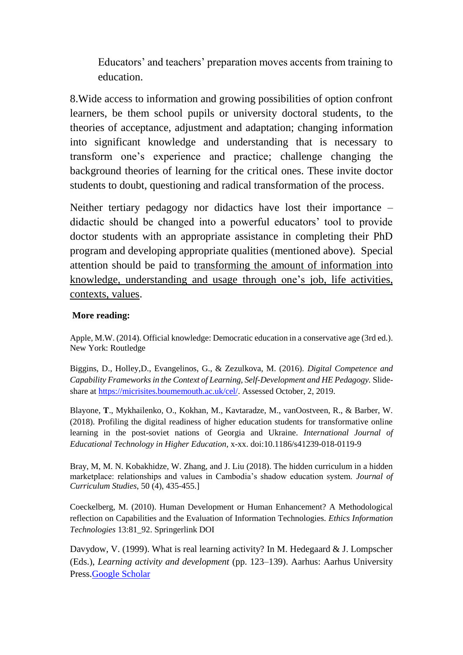Educators' and teachers' preparation moves accents from training to education.

8.Wide access to information and growing possibilities of option confront learners, be them school pupils or university doctoral students, to the theories of acceptance, adjustment and adaptation; changing information into significant knowledge and understanding that is necessary to transform one's experience and practice; challenge changing the background theories of learning for the critical ones. These invite doctor students to doubt, questioning and radical transformation of the process.

Neither tertiary pedagogy nor didactics have lost their importance – didactic should be changed into a powerful educators' tool to provide doctor students with an appropriate assistance in completing their PhD program and developing appropriate qualities (mentioned above). Special attention should be paid to transforming the amount of information into knowledge, understanding and usage through one's job, life activities, contexts, values.

#### **More reading:**

Apple, M.W. (2014). Official knowledge: Democratic education in a conservative age (3rd ed.). New York: Routledge

Biggins, D., Holley,D., Evangelinos, G., & Zezulkova, M. (2016). *Digital Competence and Capability Frameworks in the Context of Learning, Self-Development and HE Pedagogy.* Slideshare at [https://micrisites.boumemouth.ac.uk/cel/.](https://micrisites.boumemouth.ac.uk/cel/) Assessed October, 2, 2019.

Blayone, **T**., Mykhailenko, O., Kokhan, M., Kavtaradze, M., vanOostveen, R., & Barber, W. (2018). Profiling the digital readiness of higher education students for transformative online learning in the post-soviet nations of Georgia and Ukraine. *International Journal of Educational Technology in Higher Education*, x-xx. doi:10.1186/s41239-018-0119-9

Bray, M, M. N. Kobakhidze, W. Zhang, and J. Liu (2018). The hidden curriculum in a hidden marketplace: relationships and values in Cambodia's shadow education system. *Journal of Curriculum Studies*, 50 (4), 435-455.]

Coeckelberg, M. (2010). Human Development or Human Enhancement? A Methodological reflection on Capabilities and the Evaluation of Information Technologies. *Ethics Information Technologies* 13:81\_92. Springerlink DOI

Davydow, V. (1999). What is real learning activity? In M. Hedegaard & J. Lompscher (Eds.), *Learning activity and development* (pp. 123–139). Aarhus: Aarhus University Press[.Google Scholar](http://scholar.google.com/scholar_lookup?title=What%20is%20real%20learning%20activity%3F&author=V.%20Davydow&pages=123-139&publication_year=1999)